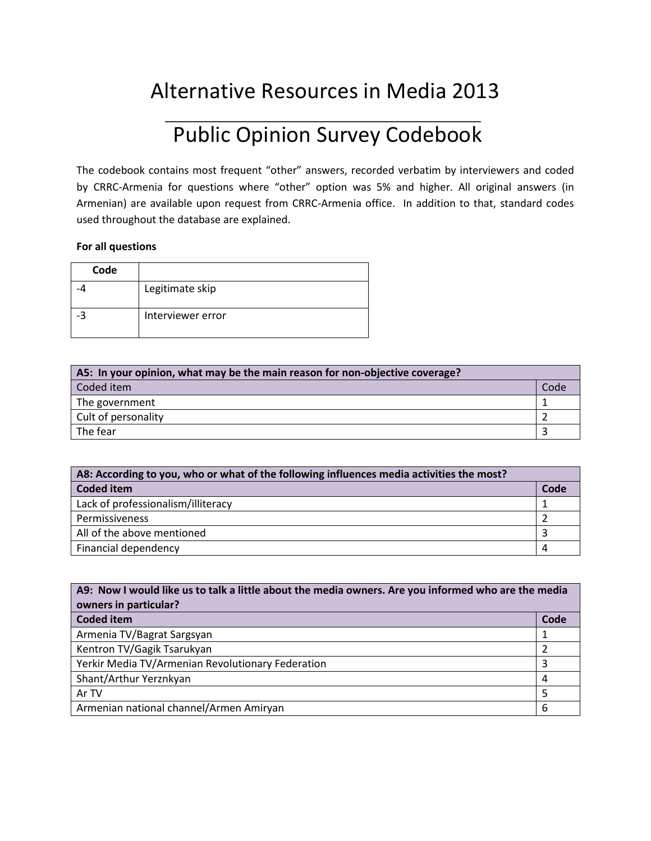## Alternative Resources in Media 2013

## Public Opinion Survey Codebook

The codebook contains most frequent "other" answers, recorded verbatim by interviewers and coded by CRRC-Armenia for questions where "other" option was 5% and higher. All original answers (in Armenian) are available upon request from CRRC-Armenia office. In addition to that, standard codes used throughout the database are explained.

## **For all questions**

| Code |                   |
|------|-------------------|
|      | Legitimate skip   |
| -3   | Interviewer error |

| A5: In your opinion, what may be the main reason for non-objective coverage? |      |
|------------------------------------------------------------------------------|------|
| Coded item                                                                   | Code |
| The government                                                               |      |
| Cult of personality                                                          |      |
| The fear                                                                     |      |

| A8: According to you, who or what of the following influences media activities the most? |      |
|------------------------------------------------------------------------------------------|------|
| <b>Coded item</b>                                                                        | Code |
| Lack of professionalism/illiteracy                                                       |      |
| Permissiveness                                                                           |      |
| All of the above mentioned                                                               |      |
| Financial dependency                                                                     |      |

| A9: Now I would like us to talk a little about the media owners. Are you informed who are the media<br>owners in particular? |      |
|------------------------------------------------------------------------------------------------------------------------------|------|
| <b>Coded item</b>                                                                                                            | Code |
| Armenia TV/Bagrat Sargsyan                                                                                                   |      |
| Kentron TV/Gagik Tsarukyan                                                                                                   |      |
| Yerkir Media TV/Armenian Revolutionary Federation                                                                            | 3    |
| Shant/Arthur Yerznkyan                                                                                                       | 4    |
| Ar TV                                                                                                                        | 5    |
| Armenian national channel/Armen Amiryan                                                                                      | 6    |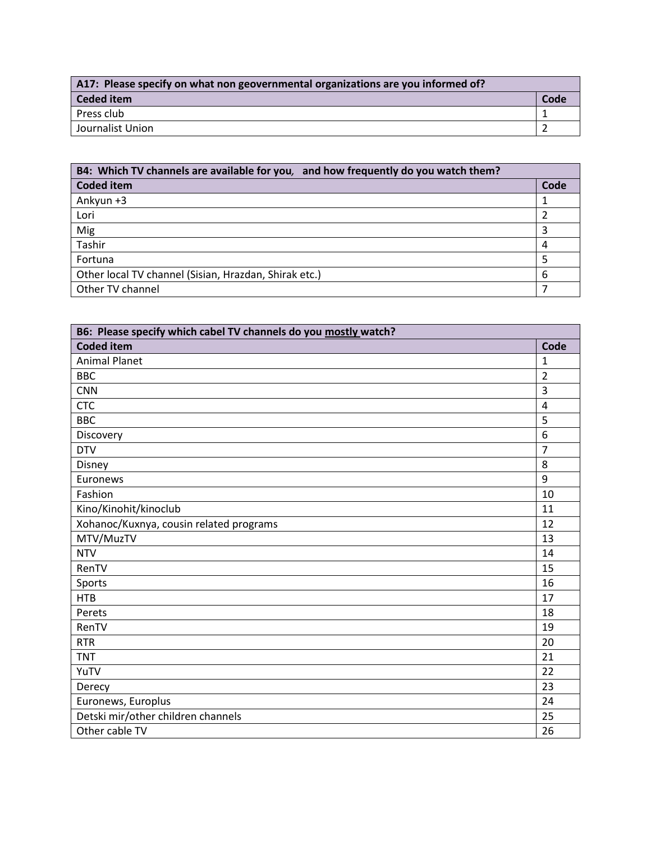| A17: Please specify on what non geovernmental organizations are you informed of? |      |
|----------------------------------------------------------------------------------|------|
| Ceded item                                                                       | Code |
| Press club                                                                       |      |
| Journalist Union                                                                 |      |

| B4: Which TV channels are available for you, and how frequently do you watch them? |      |
|------------------------------------------------------------------------------------|------|
| <b>Coded item</b>                                                                  | Code |
| Ankyun $+3$                                                                        |      |
| Lori                                                                               |      |
| Mig                                                                                | 3    |
| Tashir                                                                             | 4    |
| Fortuna                                                                            |      |
| Other local TV channel (Sisian, Hrazdan, Shirak etc.)                              | 6    |
| Other TV channel                                                                   |      |

| B6: Please specify which cabel TV channels do you mostly watch? |                |
|-----------------------------------------------------------------|----------------|
| <b>Coded item</b>                                               | Code           |
| <b>Animal Planet</b>                                            | $\mathbf{1}$   |
| <b>BBC</b>                                                      | $\overline{2}$ |
| <b>CNN</b>                                                      | 3              |
| <b>CTC</b>                                                      | $\overline{4}$ |
| <b>BBC</b>                                                      | 5              |
| Discovery                                                       | 6              |
| <b>DTV</b>                                                      | $\overline{7}$ |
| Disney                                                          | 8              |
| Euronews                                                        | 9              |
| Fashion                                                         | 10             |
| Kino/Kinohit/kinoclub                                           | 11             |
| Xohanoc/Kuxnya, cousin related programs                         | 12             |
| MTV/MuzTV                                                       | 13             |
| <b>NTV</b>                                                      | 14             |
| RenTV                                                           | 15             |
| Sports                                                          | 16             |
| <b>HTB</b>                                                      | 17             |
| Perets                                                          | 18             |
| RenTV                                                           | 19             |
| <b>RTR</b>                                                      | 20             |
| <b>TNT</b>                                                      | 21             |
| YuTV                                                            | 22             |
| Derecy                                                          | 23             |
| Euronews, Europlus                                              | 24             |
| Detski mir/other children channels                              | 25             |
| Other cable TV                                                  | 26             |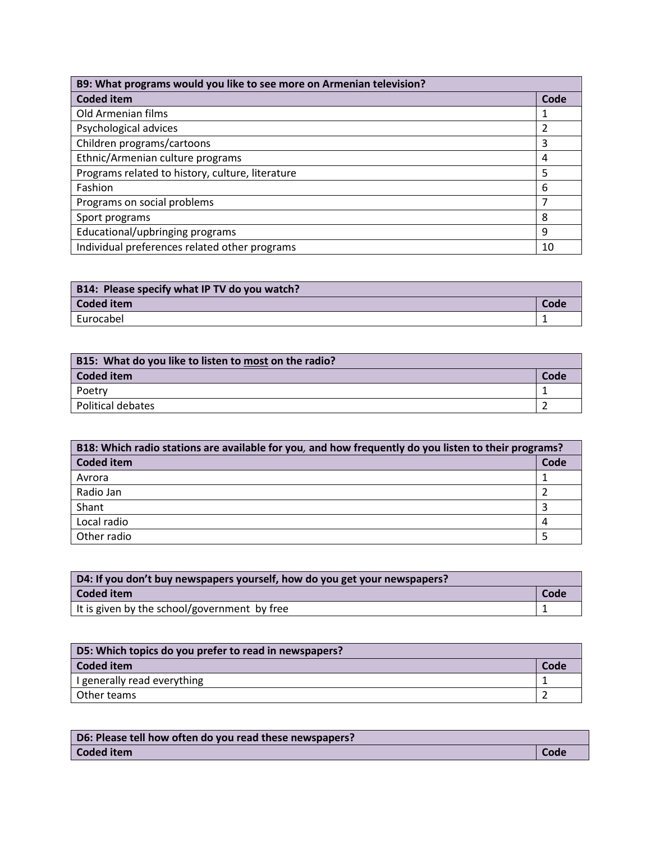| B9: What programs would you like to see more on Armenian television? |      |
|----------------------------------------------------------------------|------|
| <b>Coded item</b>                                                    | Code |
| Old Armenian films                                                   |      |
| Psychological advices                                                |      |
| Children programs/cartoons                                           | 3    |
| Ethnic/Armenian culture programs                                     | 4    |
| Programs related to history, culture, literature                     | 5    |
| Fashion                                                              | 6    |
| Programs on social problems                                          |      |
| Sport programs                                                       | 8    |
| Educational/upbringing programs                                      | 9    |
| Individual preferences related other programs                        | 10   |

| B14: Please specify what IP TV do you watch? |      |
|----------------------------------------------|------|
| Coded item                                   | Code |
| Eurocabel                                    |      |

| B15: What do you like to listen to most on the radio? |      |
|-------------------------------------------------------|------|
| Coded item                                            | Code |
| Poetry                                                |      |
| Political debates                                     |      |

| B18: Which radio stations are available for you, and how frequently do you listen to their programs? |      |
|------------------------------------------------------------------------------------------------------|------|
| <b>Coded item</b>                                                                                    | Code |
| Avrora                                                                                               |      |
| Radio Jan                                                                                            |      |
| Shant                                                                                                |      |
| Local radio                                                                                          |      |
| Other radio                                                                                          |      |

| D4: If you don't buy newspapers yourself, how do you get your newspapers? |      |
|---------------------------------------------------------------------------|------|
| <b>Coded item</b>                                                         | Code |
| It is given by the school/government by free                              |      |

| D5: Which topics do you prefer to read in newspapers? |      |
|-------------------------------------------------------|------|
| Coded item                                            | Code |
| I generally read everything                           |      |
| Other teams                                           |      |

| D6: Please tell how often do you read these newspapers? |      |
|---------------------------------------------------------|------|
| Coded item                                              | Code |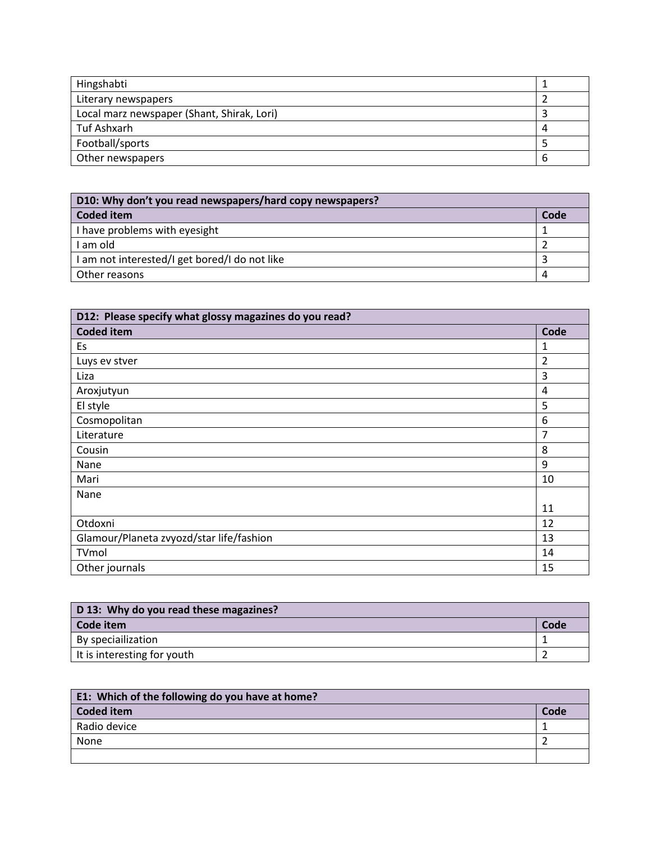| Hingshabti                                 |   |
|--------------------------------------------|---|
| Literary newspapers                        |   |
| Local marz newspaper (Shant, Shirak, Lori) |   |
| Tuf Ashxarh                                |   |
| Football/sports                            |   |
| Other newspapers                           | b |

| D10: Why don't you read newspapers/hard copy newspapers? |      |
|----------------------------------------------------------|------|
| Coded item                                               | Code |
| I have problems with eyesight                            |      |
| I am old                                                 |      |
| I am not interested/I get bored/I do not like            |      |
| Other reasons                                            |      |

| D12: Please specify what glossy magazines do you read? |                |
|--------------------------------------------------------|----------------|
| <b>Coded item</b>                                      | Code           |
| Es                                                     | 1              |
| Luys ev stver                                          | $\overline{2}$ |
| Liza                                                   | 3              |
| Aroxjutyun                                             | 4              |
| El style                                               | 5              |
| Cosmopolitan                                           | 6              |
| Literature                                             | 7              |
| Cousin                                                 | 8              |
| Nane                                                   | 9              |
| Mari                                                   | 10             |
| Nane                                                   |                |
|                                                        | 11             |
| Otdoxni                                                | 12             |
| Glamour/Planeta zvyozd/star life/fashion               | 13             |
| TVmol                                                  | 14             |
| Other journals                                         | 15             |

| D 13: Why do you read these magazines? |      |
|----------------------------------------|------|
| Code item                              | Code |
| By speciallization                     |      |
| It is interesting for youth            |      |

| E1: Which of the following do you have at home? |      |
|-------------------------------------------------|------|
| <b>Coded item</b>                               | Code |
| Radio device                                    |      |
| None                                            |      |
|                                                 |      |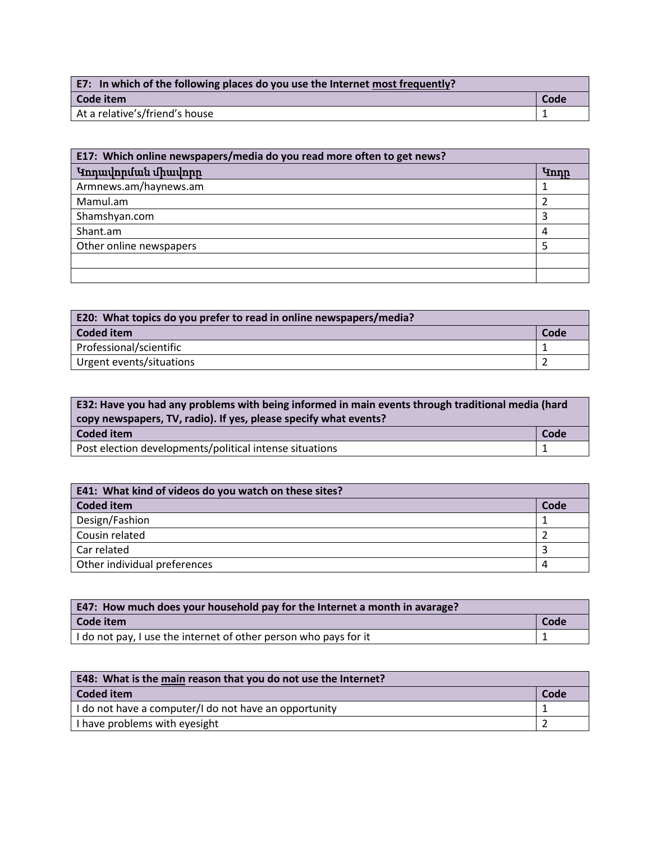| E7: In which of the following places do you use the Internet most frequently? |      |
|-------------------------------------------------------------------------------|------|
| Code item                                                                     | Code |
| At a relative's/friend's house                                                |      |

| E17: Which online newspapers/media do you read more often to get news? |             |
|------------------------------------------------------------------------|-------------|
| Կոդավորման միավորը                                                     | <b>Ynnr</b> |
| Armnews.am/haynews.am                                                  |             |
| Mamul.am                                                               |             |
| Shamshyan.com                                                          |             |
| Shant.am                                                               | 4           |
| Other online newspapers                                                |             |
|                                                                        |             |
|                                                                        |             |

| E20: What topics do you prefer to read in online newspapers/media? |      |
|--------------------------------------------------------------------|------|
| Coded item                                                         | Code |
| Professional/scientific                                            |      |
| Urgent events/situations                                           |      |

| E32: Have you had any problems with being informed in main events through traditional media (hard<br>copy newspapers, TV, radio). If yes, please specify what events? |      |
|-----------------------------------------------------------------------------------------------------------------------------------------------------------------------|------|
| Coded item                                                                                                                                                            | Code |
| Post election developments/political intense situations                                                                                                               |      |

| E41: What kind of videos do you watch on these sites? |      |
|-------------------------------------------------------|------|
| Coded item                                            | Code |
| Design/Fashion                                        |      |
| Cousin related                                        |      |
| Car related                                           |      |
| Other individual preferences                          | 4    |

| <b>E47: How much does your household pay for the Internet a month in avarage?</b> |      |
|-----------------------------------------------------------------------------------|------|
| Code item                                                                         | Code |
| I do not pay, I use the internet of other person who pays for it                  |      |

| E48: What is the main reason that you do not use the Internet? |      |
|----------------------------------------------------------------|------|
| Coded item                                                     | Code |
| I do not have a computer/I do not have an opportunity          |      |
| I have problems with eyesight                                  |      |